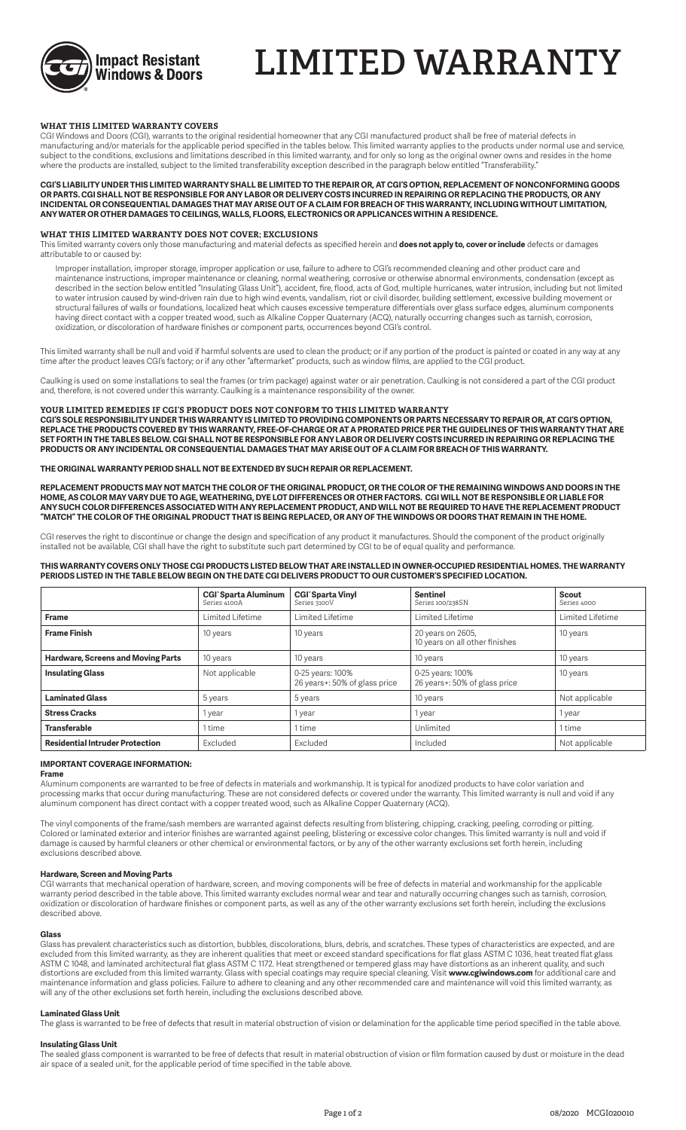

# **LIMITED WARRANTY**

## **WHAT THIS LIMITED WARRANTY COVERS**

CGI Windows and Doors (CGI), warrants to the original residential homeowner that any CGI manufactured product shall be free of material defects in manufacturing and/or materials for the applicable period specified in the tables below. This limited warranty applies to the products under normal use and service, subject to the conditions, exclusions and limitations described in this limited warranty, and for only so long as the original owner owns and resides in the home where the products are installed, subject to the limited transferability exception described in the paragraph below entitled "Transferability."

**CGI'S LIABILITY UNDER THIS LIMITED WARRANTY SHALL BE LIMITED TO THE REPAIR OR, AT CGI'S OPTION, REPLACEMENT OF NONCONFORMING GOODS OR PARTS. CGI SHALL NOT BE RESPONSIBLE FOR ANY LABOR OR DELIVERY COSTS INCURRED IN REPAIRING OR REPLACING THE PRODUCTS, OR ANY INCIDENTAL OR CONSEQUENTIAL DAMAGES THAT MAY ARISE OUT OF A CLAIM FOR BREACH OF THIS WARRANTY, INCLUDING WITHOUT LIMITATION, ANY WATER OR OTHER DAMAGES TO CEILINGS, WALLS, FLOORS, ELECTRONICS OR APPLICANCES WITHIN A RESIDENCE.**

### **WHAT THIS LIMITED WARRANTY DOES NOT COVER; EXCLUSIONS**

This limited warranty covers only those manufacturing and material defects as specified herein and **does not apply to, cover or include** defects or damages attributable to or caused by:

Improper installation, improper storage, improper application or use, failure to adhere to CGI's recommended cleaning and other product care and maintenance instructions, improper maintenance or cleaning, normal weathering, corrosive or otherwise abnormal environments, condensation (except as described in the section below entitled "Insulating Glass Unit"), accident, fire, flood, acts of God, multiple hurricanes, water intrusion, including but not limited to water intrusion caused by wind-driven rain due to high wind events, vandalism, riot or civil disorder, building settlement, excessive building movement or structural failures of walls or foundations, localized heat which causes excessive temperature differentials over glass surface edges, aluminum components having direct contact with a copper treated wood, such as Alkaline Copper Quaternary (ACQ), naturally occurring changes such as tarnish, corrosion, oxidization, or discoloration of hardware finishes or component parts, occurrences beyond CGI's control.

This limited warranty shall be null and void if harmful solvents are used to clean the product; or if any portion of the product is painted or coated in any way at any time after the product leaves CGI's factory; or if any other "aftermarket" products, such as window films, are applied to the CGI product.

Caulking is used on some installations to seal the frames (or trim package) against water or air penetration. Caulking is not considered a part of the CGI product and, therefore, is not covered under this warranty. Caulking is a maintenance responsibility of the owner.

## **YOUR LIMITED REMEDIES IF CGI'S PRODUCT DOES NOT CONFORM TO THIS LIMITED WARRANTY**

**CGI'S SOLE RESPONSIBILITY UNDER THIS WARRANTY IS LIMITED TO PROVIDING COMPONENTS OR PARTS NECESSARY TO REPAIR OR, AT CGI'S OPTION, REPLACE THE PRODUCTS COVERED BY THIS WARRANTY, FREE-OF-CHARGE OR AT A PRORATED PRICE PER THE GUIDELINES OF THIS WARRANTY THAT ARE SET FORTH IN THE TABLES BELOW. CGI SHALL NOT BE RESPONSIBLE FOR ANY LABOR OR DELIVERY COSTS INCURRED IN REPAIRING OR REPLACING THE PRODUCTS OR ANY INCIDENTAL OR CONSEQUENTIAL DAMAGES THAT MAY ARISE OUT OF A CLAIM FOR BREACH OF THIS WARRANTY.**

### **THE ORIGINAL WARRANTY PERIOD SHALL NOT BE EXTENDED BY SUCH REPAIR OR REPLACEMENT.**

**REPLACEMENT PRODUCTS MAY NOT MATCH THE COLOR OF THE ORIGINAL PRODUCT, OR THE COLOR OF THE REMAINING WINDOWS AND DOORS IN THE HOME, AS COLOR MAY VARY DUE TO AGE, WEATHERING, DYE LOT DIFFERENCES OR OTHER FACTORS. CGI WILL NOT BE RESPONSIBLE OR LIABLE FOR ANY SUCH COLOR DIFFERENCES ASSOCIATED WITH ANY REPLACEMENT PRODUCT, AND WILL NOT BE REQUIRED TO HAVE THE REPLACEMENT PRODUCT "MATCH" THE COLOR OF THE ORIGINAL PRODUCT THAT IS BEING REPLACED, OR ANY OF THE WINDOWS OR DOORS THAT REMAIN IN THE HOME.**

CGI reserves the right to discontinue or change the design and specification of any product it manufactures. Should the component of the product originally installed not be available, CGI shall have the right to substitute such part determined by CGI to be of equal quality and performance.

### **THIS WARRANTY COVERS ONLY THOSE CGI PRODUCTS LISTED BELOW THAT ARE INSTALLED IN OWNER-OCCUPIED RESIDENTIAL HOMES. THE WARRANTY PERIODS LISTED IN THE TABLE BELOW BEGIN ON THE DATE CGI DELIVERS PRODUCT TO OUR CUSTOMER'S SPECIFIED LOCATION.**

|                                           | <b>CGI</b> <sup>o</sup> Sparta Aluminum<br>Series 4100A | <b>CGI</b> <sup><math>\circ</math></sup> Sparta Vinyl<br>Series 3100V | <b>Sentinel</b><br>Series 100/238SN                 | Scout<br>Series 4000 |  |  |
|-------------------------------------------|---------------------------------------------------------|-----------------------------------------------------------------------|-----------------------------------------------------|----------------------|--|--|
| <b>Frame</b>                              | Limited Lifetime                                        | Limited Lifetime                                                      | Limited Lifetime                                    | Limited Lifetime     |  |  |
| <b>Frame Finish</b>                       | 10 years                                                | 10 years                                                              | 20 years on 2605,<br>10 years on all other finishes | 10 years             |  |  |
| <b>Hardware, Screens and Moving Parts</b> | 10 years                                                | 10 years                                                              | 10 years                                            | 10 years             |  |  |
| <b>Insulating Glass</b>                   | Not applicable                                          | 0-25 years: 100%<br>26 years+: 50% of glass price                     | 0-25 years: 100%<br>26 years+: 50% of glass price   | 10 years             |  |  |
| <b>Laminated Glass</b>                    | 5 years                                                 | 5 years                                                               | 10 years                                            | Not applicable       |  |  |
| <b>Stress Cracks</b>                      | 1 year                                                  | year.                                                                 | 1 year                                              | 1 year               |  |  |
| <b>Transferable</b>                       | 1 time                                                  | 1 time                                                                | Unlimited                                           | 1 time               |  |  |
| <b>Residential Intruder Protection</b>    | Excluded                                                | Excluded                                                              | Included                                            | Not applicable       |  |  |

### **IMPORTANT COVERAGE INFORMATION:**

### **Frame**

Aluminum components are warranted to be free of defects in materials and workmanship. It is typical for anodized products to have color variation and processing marks that occur during manufacturing. These are not considered defects or covered under the warranty. This limited warranty is null and void if any aluminum component has direct contact with a copper treated wood, such as Alkaline Copper Quaternary (ACQ).

The vinyl components of the frame/sash members are warranted against defects resulting from blistering, chipping, cracking, peeling, corroding or pitting. Colored or laminated exterior and interior finishes are warranted against peeling, blistering or excessive color changes. This limited warranty is null and void if damage is caused by harmful cleaners or other chemical or environmental factors, or by any of the other warranty exclusions set forth herein, including exclusions described above.

## **Hardware, Screen and Moving Parts**

CGI warrants that mechanical operation of hardware, screen, and moving components will be free of defects in material and workmanship for the applicable warranty period described in the table above. This limited warranty excludes normal wear and tear and naturally occurring changes such as tarnish, corrosion, oxidization or discoloration of hardware finishes or component parts, as well as any of the other warranty exclusions set forth herein, including the exclusions described above.

### **Glass**

Glass has prevalent characteristics such as distortion, bubbles, discolorations, blurs, debris, and scratches. These types of characteristics are expected, and are excluded from this limited warranty, as they are inherent qualities that meet or exceed standard specifications for flat glass ASTM C 1036, heat treated flat glass ASTM C 1048, and laminated architectural flat glass ASTM C 1172. Heat strengthened or tempered glass may have distortions as an inherent quality, and such distortions are excluded from this limited warranty. Glass with special coatings may require special cleaning. Visit **www.cgiwindows.com** for additional care and maintenance information and glass policies. Failure to adhere to cleaning and any other recommended care and maintenance will void this limited warranty, as will any of the other exclusions set forth herein, including the exclusions described above.

## **Laminated Glass Unit**

The glass is warranted to be free of defects that result in material obstruction of vision or delamination for the applicable time period specified in the table above.

### **Insulating Glass Unit**

The sealed glass component is warranted to be free of defects that result in material obstruction of vision or film formation caused by dust or moisture in the dead air space of a sealed unit, for the applicable period of time specified in the table above.